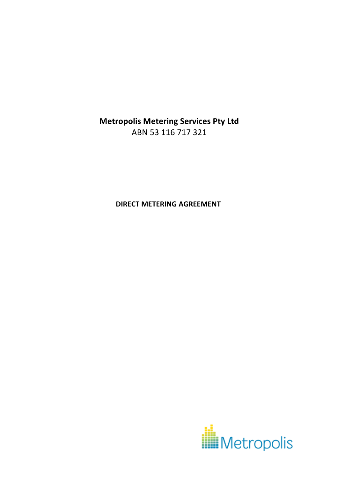**Metropolis Metering Services Pty Ltd** ABN 53 116 717 321

**DIRECT METERING AGREEMENT**

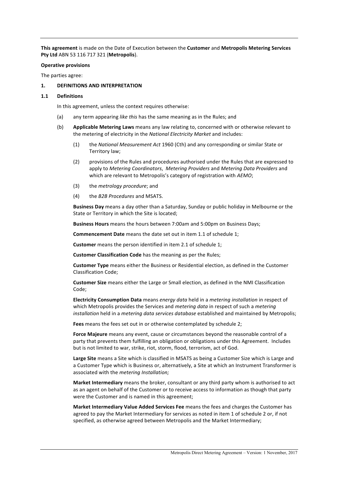**This agreement** is made on the Date of Execution between the **Customer** and Metropolis Metering Services **Pty Ltd** ABN 53 116 717 321 (**Metropolis**). 

#### **Operative provisions**

The parties agree:

#### **1. DEFINITIONS AND INTERPRETATION**

#### **1.1 Definitions**

In this agreement, unless the context requires otherwise:

- (a) any term appearing *like this* has the same meaning as in the Rules; and
- (b) Applicable Metering Laws means any law relating to, concerned with or otherwise relevant to the metering of electricity in the *National Electricity Market* and includes:
	- (1) the *National Measurement Act* 1960 (Cth) and any corresponding or similar State or Territory law;
	- (2) provisions of the Rules and procedures authorised under the Rules that are expressed to apply to *Metering Coordinators*, Metering Providers and Metering Data Providers and which are relevant to Metropolis's category of registration with *AEMO*;
	- (3) the *metrology procedure*; and
	- (4) the *B2B Procedures* and MSATS.

**Business Day** means a day other than a Saturday, Sunday or public holiday in Melbourne or the State or Territory in which the Site is located;

**Business Hours** means the hours between 7:00am and 5:00pm on Business Days;

**Commencement Date** means the date set out in item 1.1 of schedule 1;

**Customer** means the person identified in item 2.1 of schedule 1;

**Customer Classification Code** has the meaning as per the Rules;

**Customer Type** means either the Business or Residential election, as defined in the Customer Classification Code;

**Customer Size** means either the Large or Small election, as defined in the NMI Classification Code;

**Electricity Consumption Data** means *energy data* held in a *metering installation* in respect of which Metropolis provides the Services and *metering data* in respect of such a *metering installation* held in a *metering data services database* established and maintained by Metropolis;

Fees means the fees set out in or otherwise contemplated by schedule 2;

Force Majeure means any event, cause or circumstances beyond the reasonable control of a party that prevents them fulfilling an obligation or obligations under this Agreement. Includes but is not limited to war, strike, riot, storm, flood, terrorism, act of God.

Large Site means a Site which is classified in MSATS as being a Customer Size which is Large and a Customer Type which is Business or, alternatively, a Site at which an Instrument Transformer is associated with the *metering Installation;* 

**Market Intermediary** means the broker, consultant or any third party whom is authorised to act as an agent on behalf of the Customer or to receive access to information as though that party were the Customer and is named in this agreement;

**Market Intermediary Value Added Services Fee** means the fees and charges the Customer has agreed to pay the Market Intermediary for services as noted in item 1 of schedule 2 or, if not specified, as otherwise agreed between Metropolis and the Market Intermediary;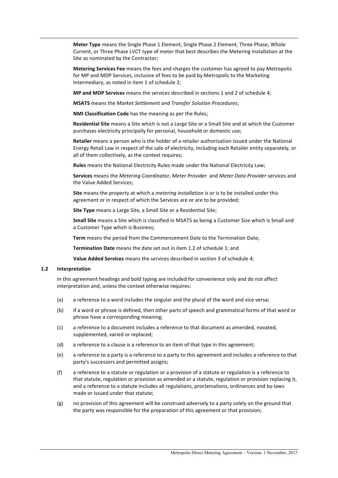Meter Type means the Single Phase 1 Element, Single Phase 2 Element, Three Phase, Whole Current, or Three Phase LVCT type of meter that best describes the Metering Installation at the Site as nominated by the Contractor;

**Metering Services Fee** means the fees and charges the customer has agreed to pay Metropolis for MP and MDP Services, inclusive of fees to be paid by Metropolis to the Marketing Intermediary, as noted in item 1 of schedule 2;

**MP** and MDP Services means the services described in sections 1 and 2 of schedule 4:

**MSATS** means the *Market Settlement and Transfer Solution Procedures;* 

**NMI Classification Code** has the meaning as per the Rules;

**Residential Site** means a Site which is not a Large Site or a Small Site and at which the Customer purchases electricity principally for personal, household or domestic use;

**Retailer** means a person who is the holder of a retailer authorisation issued under the National Energy Retail Law in respect of the sale of electricity, including each Retailer entity separately, or all of them collectively, as the context requires;

**Rules** means the National Electricity Rules made under the National Electricity Law;

**Services** means the *Metering Coordinator*, *Meter Provider* and *Meter Data Provider* services and the Value Added Services:

**Site** means the property at which a *metering installation* is or is to be installed under this agreement or in respect of which the Services are or are to be provided;

**Site Type** means a Large Site, a Small Site or a Residential Site;

**Small Site** means a Site which is classified in MSATS as being a Customer Size which is Small and a Customer Type which is Business;

**Term** means the period from the Commencement Date to the Termination Date;

**Termination Date** means the date set out in item 1.2 of schedule 1; and

**Value Added Services** means the services described in section 3 of schedule 4;

#### **1.2 Interpretation**

In this agreement headings and bold typing are included for convenience only and do not affect interpretation and, unless the context otherwise requires:

- (a) a reference to a word includes the singular and the plural of the word and vice versa;
- (b) if a word or phrase is defined, then other parts of speech and grammatical forms of that word or phrase have a corresponding meaning:
- (c) a reference to a document includes a reference to that document as amended, novated, supplemented, varied or replaced;
- (d) a reference to a clause is a reference to an item of that type in this agreement;
- (e) a reference to a party is a reference to a party to this agreement and includes a reference to that party's successors and permitted assigns;
- (f) a reference to a statute or regulation or a provision of a statute or regulation is a reference to that statute, regulation or provision as amended or a statute, regulation or provision replacing it, and a reference to a statute includes all regulations, proclamations, ordinances and by-laws made or issued under that statute;
- $(g)$  no provision of this agreement will be construed adversely to a party solely on the ground that the party was responsible for the preparation of this agreement or that provision;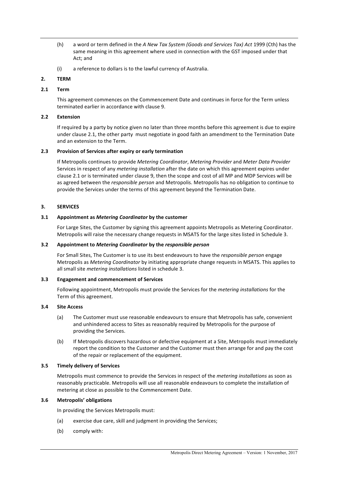- (h) a word or term defined in the *A New Tax System (Goods and Services Tax) Act* 1999 (Cth) has the same meaning in this agreement where used in connection with the GST imposed under that Act; and
- $(i)$  a reference to dollars is to the lawful currency of Australia.

# **2. TERM**

## **2.1 Term**

This agreement commences on the Commencement Date and continues in force for the Term unless terminated earlier in accordance with clause 9.

## **2.2 Extension**

If required by a party by notice given no later than three months before this agreement is due to expire under clause 2.1, the other party must negotiate in good faith an amendment to the Termination Date and an extension to the Term.

### **2.3 Provision of Services after expiry or early termination**

If Metropolis continues to provide *Metering Coordinator*, *Metering Provider* and *Meter Data Provider* Services in respect of any *metering installation* after the date on which this agreement expires under clause 2.1 or is terminated under clause 9, then the scope and cost of all MP and MDP Services will be as agreed between the *responsible person* and Metropolis. Metropolis has no obligation to continue to provide the Services under the terms of this agreement beyond the Termination Date.

## **3. SERVICES**

## **3.1 Appointment as** *Metering Coordinator* **by the customer**

For Large Sites, the Customer by signing this agreement appoints Metropolis as Metering Coordinator. Metropolis will raise the necessary change requests in MSATS for the large sites listed in Schedule 3.

### **3.2 Appointment to** *Metering Coordinator* **by the** *responsible person*

For Small Sites, The Customer is to use its best endeavours to have the *responsible person* engage Metropolis as *Metering Coordinator* by initiating appropriate change requests in MSATS. This applies to all small site *metering installations* listed in schedule 3.

### **3.3 Engagement and commencement of Services**

Following appointment, Metropolis must provide the Services for the *metering installations* for the Term of this agreement.

## **3.4 Site Access**

- (a) The Customer must use reasonable endeavours to ensure that Metropolis has safe, convenient and unhindered access to Sites as reasonably required by Metropolis for the purpose of providing the Services.
- (b) If Metropolis discovers hazardous or defective equipment at a Site, Metropolis must immediately report the condition to the Customer and the Customer must then arrange for and pay the cost of the repair or replacement of the equipment.

### **3.5 Timely delivery of Services**

Metropolis must commence to provide the Services in respect of the *metering installations* as soon as reasonably practicable. Metropolis will use all reasonable endeavours to complete the installation of metering at close as possible to the Commencement Date.

## **3.6 Metropolis' obligations**

In providing the Services Metropolis must:

- (a) exercise due care, skill and judgment in providing the Services;
- (b) comply with: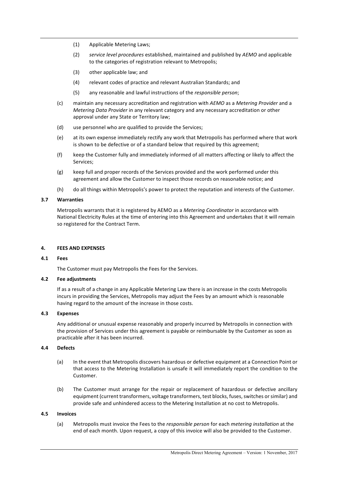- (1) Applicable Metering Laws;
- (2) *service level procedures* established, maintained and published by AEMO and applicable to the categories of registration relevant to Metropolis;
- $(3)$  other applicable law; and
- (4) relevant codes of practice and relevant Australian Standards; and
- (5) any reasonable and lawful instructions of the *responsible person*;
- (c) maintain any necessary accreditation and registration with *AEMO* as a *Metering Provider* and a *Metering Data Provider* in any relevant category and any necessary accreditation or other approval under any State or Territory law;
- (d) use personnel who are qualified to provide the Services;
- (e) at its own expense immediately rectify any work that Metropolis has performed where that work is shown to be defective or of a standard below that required by this agreement;
- (f) keep the Customer fully and immediately informed of all matters affecting or likely to affect the Services;
- (g) keep full and proper records of the Services provided and the work performed under this agreement and allow the Customer to inspect those records on reasonable notice; and
- (h) do all things within Metropolis's power to protect the reputation and interests of the Customer.

#### **3.7 Warranties**

Metropolis warrants that it is registered by AEMO as a *Metering Coordinator* in accordance with National Electricity Rules at the time of entering into this Agreement and undertakes that it will remain so registered for the Contract Term.

#### **4. FEES AND EXPENSES**

## **4.1 Fees**

The Customer must pay Metropolis the Fees for the Services.

#### **4.2 Fee adjustments**

If as a result of a change in any Applicable Metering Law there is an increase in the costs Metropolis incurs in providing the Services, Metropolis may adjust the Fees by an amount which is reasonable having regard to the amount of the increase in those costs.

### **4.3 Expenses**

Any additional or unusual expense reasonably and properly incurred by Metropolis in connection with the provision of Services under this agreement is payable or reimbursable by the Customer as soon as practicable after it has been incurred.

### **4.4 Defects**

- (a) In the event that Metropolis discovers hazardous or defective equipment at a Connection Point or that access to the Metering Installation is unsafe it will immediately report the condition to the Customer.
- (b) The Customer must arrange for the repair or replacement of hazardous or defective ancillary equipment (current transformers, voltage transformers, test blocks, fuses, switches or similar) and provide safe and unhindered access to the Metering Installation at no cost to Metropolis.

#### **4.5 Invoices**

(a) Metropolis must invoice the Fees to the *responsible person* for each *metering installation* at the end of each month. Upon request, a copy of this invoice will also be provided to the Customer.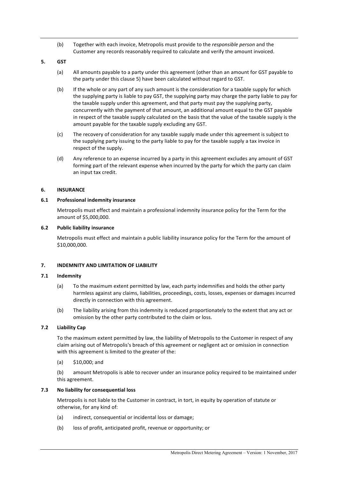(b) Together with each invoice, Metropolis must provide to the *responsible person* and the Customer any records reasonably required to calculate and verify the amount invoiced.

## **5. GST**

- (a) All amounts payable to a party under this agreement (other than an amount for GST payable to the party under this clause 5) have been calculated without regard to GST.
- (b) If the whole or any part of any such amount is the consideration for a taxable supply for which the supplying party is liable to pay GST, the supplying party may charge the party liable to pay for the taxable supply under this agreement, and that party must pay the supplying party, concurrently with the payment of that amount, an additional amount equal to the GST payable in respect of the taxable supply calculated on the basis that the value of the taxable supply is the amount payable for the taxable supply excluding any GST.
- (c) The recovery of consideration for any taxable supply made under this agreement is subject to the supplying party issuing to the party liable to pay for the taxable supply a tax invoice in respect of the supply.
- (d) Any reference to an expense incurred by a party in this agreement excludes any amount of GST forming part of the relevant expense when incurred by the party for which the party can claim an input tax credit.

## **6. INSURANCE**

## **6.1** Professional indemnity insurance

Metropolis must effect and maintain a professional indemnity insurance policy for the Term for the amount of \$5,000,000.

### **6.2 Public liability insurance**

Metropolis must effect and maintain a public liability insurance policy for the Term for the amount of \$10,000,000.

## **7. INDEMNITY AND LIMITATION OF LIABILITY**

### **7.1 Indemnity**

- (a) To the maximum extent permitted by law, each party indemnifies and holds the other party harmless against any claims, liabilities, proceedings, costs, losses, expenses or damages incurred directly in connection with this agreement.
- (b) The liability arising from this indemnity is reduced proportionately to the extent that any act or omission by the other party contributed to the claim or loss.

## **7.2 Liability Cap**

To the maximum extent permitted by law, the liability of Metropolis to the Customer in respect of any claim arising out of Metropolis's breach of this agreement or negligent act or omission in connection with this agreement is limited to the greater of the:

 $(a)$  \$10,000; and

(b) amount Metropolis is able to recover under an insurance policy required to be maintained under this agreement.

### **7.3 No liability for consequential loss**

Metropolis is not liable to the Customer in contract, in tort, in equity by operation of statute or otherwise, for any kind of:

- (a) indirect, consequential or incidental loss or damage;
- (b) loss of profit, anticipated profit, revenue or opportunity; or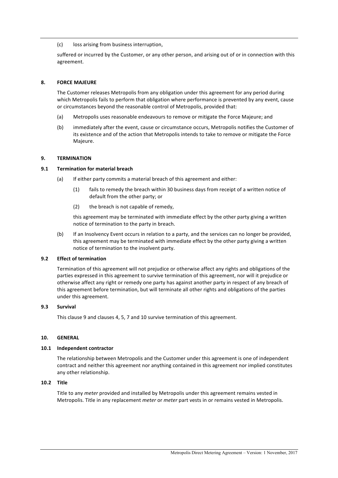### (c) loss arising from business interruption,

suffered or incurred by the Customer, or any other person, and arising out of or in connection with this agreement.

## **8. FORCE MAJEURE**

The Customer releases Metropolis from any obligation under this agreement for any period during which Metropolis fails to perform that obligation where performance is prevented by any event, cause or circumstances beyond the reasonable control of Metropolis, provided that:

- (a) Metropolis uses reasonable endeavours to remove or mitigate the Force Majeure; and
- (b) immediately after the event, cause or circumstance occurs, Metropolis notifies the Customer of its existence and of the action that Metropolis intends to take to remove or mitigate the Force Majeure.

### **9. TERMINATION**

### **9.1 Termination for material breach**

- (a) If either party commits a material breach of this agreement and either:
	- (1) fails to remedy the breach within 30 business days from receipt of a written notice of default from the other party; or
	- (2) the breach is not capable of remedy,

this agreement may be terminated with immediate effect by the other party giving a written notice of termination to the party in breach.

(b) If an Insolvency Event occurs in relation to a party, and the services can no longer be provided, this agreement may be terminated with immediate effect by the other party giving a written notice of termination to the insolvent party.

## **9.2 Effect of termination**

Termination of this agreement will not prejudice or otherwise affect any rights and obligations of the parties expressed in this agreement to survive termination of this agreement, nor will it prejudice or otherwise affect any right or remedy one party has against another party in respect of any breach of this agreement before termination, but will terminate all other rights and obligations of the parties under this agreement.

## **9.3 Survival**

This clause 9 and clauses 4, 5, 7 and 10 survive termination of this agreement.

## **10. GENERAL**

### 10.1 **Independent contractor**

The relationship between Metropolis and the Customer under this agreement is one of independent contract and neither this agreement nor anything contained in this agreement nor implied constitutes any other relationship.

### **10.2 Title**

Title to any *meter* provided and installed by Metropolis under this agreement remains vested in Metropolis. Title in any replacement *meter* or *meter* part vests in or remains vested in Metropolis.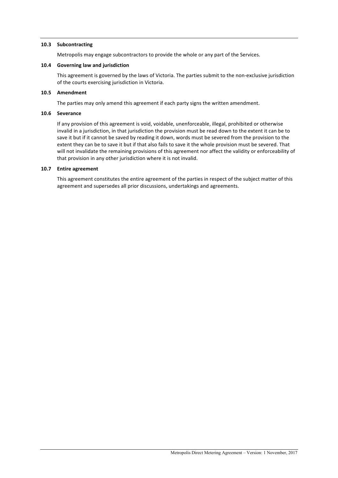### **10.3 Subcontracting**

Metropolis may engage subcontractors to provide the whole or any part of the Services.

#### 10.4 **Governing law and jurisdiction**

This agreement is governed by the laws of Victoria. The parties submit to the non-exclusive jurisdiction of the courts exercising jurisdiction in Victoria.

#### 10.5 **Amendment**

The parties may only amend this agreement if each party signs the written amendment.

#### **10.6 Severance**

If any provision of this agreement is void, voidable, unenforceable, illegal, prohibited or otherwise invalid in a jurisdiction, in that jurisdiction the provision must be read down to the extent it can be to save it but if it cannot be saved by reading it down, words must be severed from the provision to the extent they can be to save it but if that also fails to save it the whole provision must be severed. That will not invalidate the remaining provisions of this agreement nor affect the validity or enforceability of that provision in any other jurisdiction where it is not invalid.

#### 10.7 **Entire agreement**

This agreement constitutes the entire agreement of the parties in respect of the subject matter of this agreement and supersedes all prior discussions, undertakings and agreements.